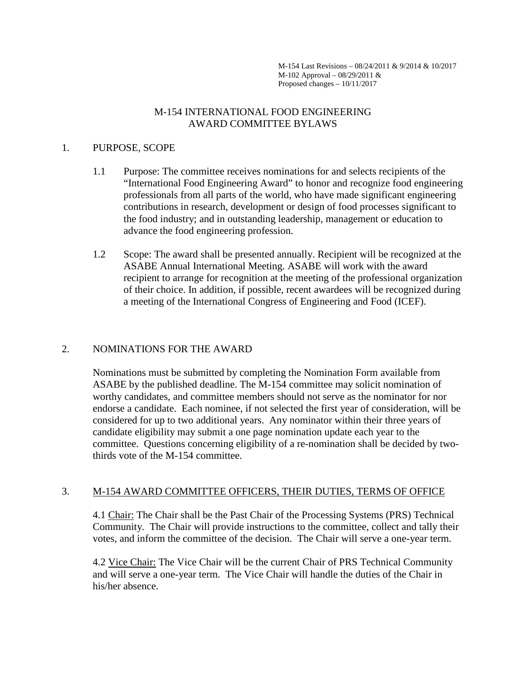M-154 Last Revisions – 08/24/2011 & 9/2014 & 10/2017 M-102 Approval – 08/29/2011 & Proposed changes – 10/11/2017

### M-154 INTERNATIONAL FOOD ENGINEERING AWARD COMMITTEE BYLAWS

#### 1. PURPOSE, SCOPE

- 1.1 Purpose: The committee receives nominations for and selects recipients of the "International Food Engineering Award" to honor and recognize food engineering professionals from all parts of the world, who have made significant engineering contributions in research, development or design of food processes significant to the food industry; and in outstanding leadership, management or education to advance the food engineering profession.
- 1.2 Scope: The award shall be presented annually. Recipient will be recognized at the ASABE Annual International Meeting. ASABE will work with the award recipient to arrange for recognition at the meeting of the professional organization of their choice. In addition, if possible, recent awardees will be recognized during a meeting of the International Congress of Engineering and Food (ICEF).

# 2. NOMINATIONS FOR THE AWARD

Nominations must be submitted by completing the Nomination Form available from ASABE by the published deadline. The M-154 committee may solicit nomination of worthy candidates, and committee members should not serve as the nominator for nor endorse a candidate. Each nominee, if not selected the first year of consideration, will be considered for up to two additional years. Any nominator within their three years of candidate eligibility may submit a one page nomination update each year to the committee. Questions concerning eligibility of a re-nomination shall be decided by twothirds vote of the M-154 committee.

# 3. M-154 AWARD COMMITTEE OFFICERS, THEIR DUTIES, TERMS OF OFFICE

4.1 Chair: The Chair shall be the Past Chair of the Processing Systems (PRS) Technical Community. The Chair will provide instructions to the committee, collect and tally their votes, and inform the committee of the decision. The Chair will serve a one-year term.

4.2 Vice Chair: The Vice Chair will be the current Chair of PRS Technical Community and will serve a one-year term. The Vice Chair will handle the duties of the Chair in his/her absence.